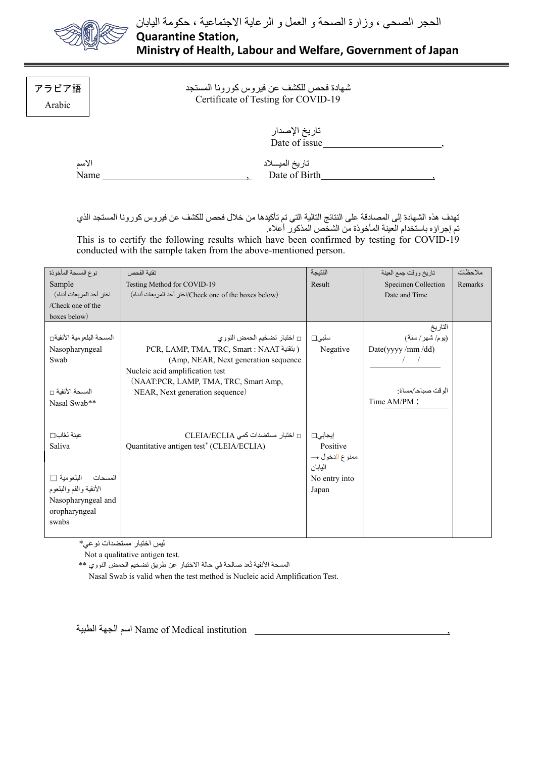

## アラビア語 Arabic

## شهادة فحص للكشف عن فيروس كورونا المستجد Certificate of Testing for COVID-19

| تاريخ الإصدار |  |
|---------------|--|
| Date of issue |  |
|               |  |

| الاسم |  |
|-------|--|
| Name  |  |

| الاسم | تاريخ الميسلاد |  |
|-------|----------------|--|
| Name  | Date of Birth  |  |

تهدف هذه الشهادة إلى المصادقة على النتائج التالية التي تم تأكيدها من خالل فحص للكشف عن فيروس كورونا المستجد الذي تم إجراؤه باستخدام العينة المأخوذة من الشخص المذكور أعاله.

This is to certify the following results which have been confirmed by testing for COVID-19 conducted with the sample taken from the above-mentioned person.

| نوع المسحة المأخوذة      | تقنبة الفحص                                             | الننيجة        | تاريخ ووقت جمع العينة | ملاحظات |
|--------------------------|---------------------------------------------------------|----------------|-----------------------|---------|
| Sample                   | Testing Method for COVID-19                             | Result         | Specimen Collection   | Remarks |
| اختر أحد المربعات أدناه) | (Check one of the boxes below)/اختر أحد المربعات أدناه) |                | Date and Time         |         |
| /Check one of the        |                                                         |                |                       |         |
| boxes below)             |                                                         |                |                       |         |
|                          |                                                         |                | التاريخ               |         |
| المسحة البلعومية الأنفية | سلبي□   □ اختبار تضخيم الحمض النووي                     |                | (يوم/شهر/سنة)         |         |
| Nasopharyngeal           | PCR, LAMP, TMA, TRC, Smart : NAAT (بتقنية)              | Negative       | Date(yyyy /mm /dd)    |         |
| Swab                     | (Amp, NEAR, Next generation sequence)                   |                |                       |         |
|                          | Nucleic acid amplification test                         |                |                       |         |
|                          | (NAAT:PCR, LAMP, TMA, TRC, Smart Amp,                   |                |                       |         |
| المسحة الأنفية □         | NEAR, Next generation sequence)                         |                | الو قت صباحا/مساءً:   |         |
| Nasal Swab**             |                                                         |                | Time AM/PM:           |         |
|                          |                                                         |                |                       |         |
|                          |                                                         |                |                       |         |
| عينة لعُاب□              | □ اختبار مستضدات كمى CLEIA/ECLIA                        | إيجابى□        |                       |         |
| Saliva                   | Quantitative antigen test <sup>*</sup> (CLEIA/ECLIA)    | Positive       |                       |         |
|                          |                                                         | ممنوع الدخول → |                       |         |
|                          |                                                         | البابان        |                       |         |
| المسحات البلعومية [      |                                                         | No entry into  |                       |         |
| الأنفية والفم والبلعوم   |                                                         | Japan          |                       |         |
| Nasopharyngeal and       |                                                         |                |                       |         |
| oropharyngeal            |                                                         |                |                       |         |
| swabs                    |                                                         |                |                       |         |
|                          |                                                         |                |                       |         |

ليس اختبار مستضدات نوعي\*

Not a qualitative antigen test.

المسحة الأنفية تُعد صالحة في حالة الاختبار عن طريق تضخيم الحمض النووي \*\*

Nasal Swab is valid when the test method is Nucleic acid Amplification Test.

الطبية الجهة اسم Name of Medical institution ,